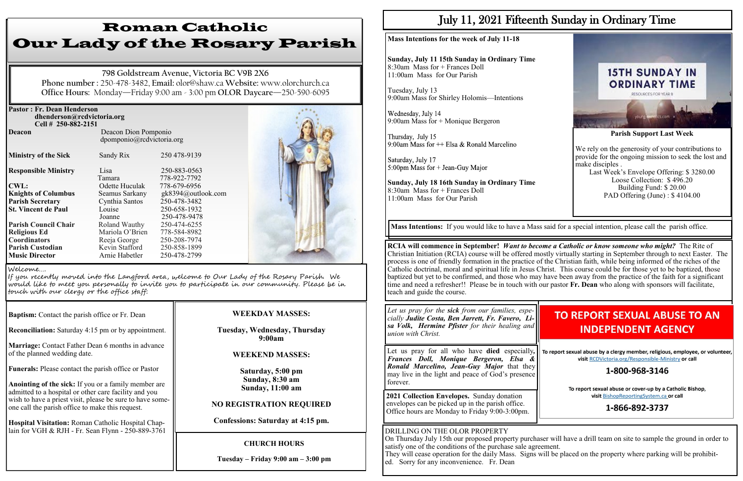| <b>Pastor: Fr. Dean Henderson</b><br>dhenderson@rcdvictoria.org<br>Cell # 250-882-2151 |                                                   |                              |  |
|----------------------------------------------------------------------------------------|---------------------------------------------------|------------------------------|--|
| <b>Deacon</b>                                                                          | Deacon Dion Pomponio<br>dpomponio@rcdvictoria.org |                              |  |
| <b>Ministry of the Sick</b>                                                            | Sandy Rix                                         | 250 478-9139                 |  |
| <b>Responsible Ministry</b>                                                            | Lisa<br>Tamara                                    | 250-883-0563<br>778-922-7792 |  |
| <b>CWL:</b>                                                                            | Odette Huculak                                    | 778-679-6956                 |  |
| <b>Knights of Columbus</b>                                                             | Seamus Sarkany                                    | gk8394@outlook.com           |  |
| <b>Parish Secretary</b>                                                                | Cynthia Santos                                    | 250-478-3482                 |  |
| <b>St. Vincent de Paul</b>                                                             | Louise                                            | 250-658-1932                 |  |
|                                                                                        | Joanne                                            | 250-478-9478                 |  |
| <b>Parish Council Chair</b>                                                            | Roland Wauthy                                     | 250-474-6255                 |  |
| <b>Religious Ed</b>                                                                    | Mariola O'Brien                                   | 778-584-8982                 |  |
| <b>Coordinators</b>                                                                    | Reeja George                                      | 250-208-7974                 |  |
| <b>Parish Custodian</b>                                                                | Kevin Stafford                                    | 250-858-1899                 |  |
| <b>Music Director</b>                                                                  | Arnie Habetler                                    | 250-478-2799                 |  |

**Baptism:** Contact the parish office or Fr. Dean

**Reconciliation:** Saturday 4:15 pm or by appointment.

**Marriage:** Contact Father Dean 6 months in advance of the planned wedding date.

**Funerals:** Please contact the parish office or Pastor

**Anointing of the sick:** If you or a family member are admitted to a hospital or other care facility and you wish to have a priest visit, please be sure to have someone call the parish office to make this request.

Wednesday, July 14 9:00am Mass for + Monique Bergeron

Thursday, July 15 9:00am Mass for  $++$  Elsa & Ronald Marcelino

Saturday, July 17 5:00pm Mass for  $+$  Jean-Guy Major

**Hospital Visitation:** Roman Catholic Hospital Chaplain for VGH & RJH - Fr. Sean Flynn - 250-889-3761

# Roman Catholic Our Lady of the Rosary Parish

**798 Goldstream Avenue, Victoria BC V9B 2X6 Phone number :** 250-478-3482, **Email:** olor@shaw.ca **Website:** www.olorchurch.ca **Office Hours:** Monday—Friday 9:00 am - 3:00 pm **OLOR Daycare**—250-590-6095

#### **WEEKDAY MASSES:**

#### **Tuesday, Wednesday, Thursday 9:00am**

### **WEEKEND MASSES:**

**Saturday, 5:00 pm Sunday, 8:30 am Sunday, 11:00 am** 

### **NO REGISTRATION REQUIRED**

**Confessions: Saturday at 4:15 pm.**

#### Welcome….

If you recently moved into the Langford area, welcome to Our Lady of the Rosary Parish. We would like to meet you personally to invite you to participate in our community. Please be in touch with our clergy or the office staff:

## **CHURCH HOURS**

**Tuesday – Friday 9:00 am – 3:00 pm**

# July 11, 2021 Fifteenth Sunday in Ordinary Time

#### **Mass Intentions for the week of July 11-18**

**Sunday, July 11 15th Sunday in Ordinary Time** 8:30am Mass for + Frances Doll 11:00am Mass for Our Parish

Tuesday, July 13 9:00am Mass for Shirley Holomis—Intentions

**Sunday, July 18 16th Sunday in Ordinary Time** 8:30am Mass for + Frances Doll 11:00am Mass for Our Parish



# **TO REPORT SEXUAL ABUSE TO AN INDEPENDENT AGENCY**

To report sexual abuse by a clergy member, religious, employee, or volunteer, visit RCDVictoria.org/Responsible-Ministry or call

### 1-800-968-3146

To report sexual abuse or cover-up by a Catholic Bishop, visit BishopReportingSystem.ca or call

### 1-866-892-3737

**RCIA will commence in September!** *Want to become a Catholic or know someone who might?* The Rite of Christian Initiation (RCIA) course will be offered mostly virtually starting in September through to next Easter. The process is one of friendly formation in the practice of the Christian faith, while being informed of the riches of the Catholic doctrinal, moral and spiritual life in Jesus Christ. This course could be for those yet to be baptized, those baptized but yet to be confirmed, and those who may have been away from the practice of the faith for a significant time and need a refresher!! Please be in touch with our pastor **Fr. Dean** who along with sponsors will facilitate, teach and guide the course.

**Mass Intentions:** If you would like to have a Mass said for a special intention, please call the parish office.

*Let us pray for the sick from our families, especially Judite Costa, Ben Jarrett, Fr. Favero, Lisa Volk, Hermine Pfister for their healing and union with Christ.*

Let us pray for all who have **died** especially*, Frances Doll, Monique Bergeron, Elsa & Ronald Marcelino, Jean-Guy Major* that they may live in the light and peace of God's presence forever.

**2021 Collection Envelopes.** Sunday donation envelopes can be picked up in the parish office. Office hours are Monday to Friday 9:00-3:00pm.

DRILLING ON THE OLOR PROPERTY On Thursday July 15th our proposed property purchaser will have a drill team on site to sample the ground in order to satisfy one of the conditions of the purchase sale agreement. They will cease operation for the daily Mass. Signs will be placed on the property where parking will be prohibited. Sorry for any inconvenience. Fr. Dean